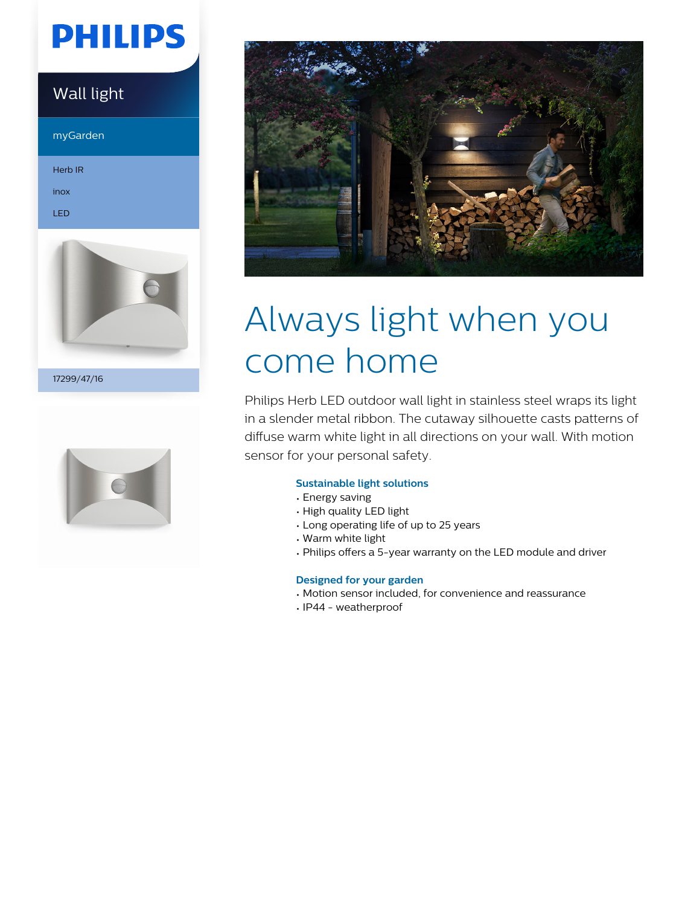# **PHILIPS**

## Wall light

myGarden

Herb IR

inox LED



17299/47/16





# Always light when you come home

Philips Herb LED outdoor wall light in stainless steel wraps its light in a slender metal ribbon. The cutaway silhouette casts patterns of diffuse warm white light in all directions on your wall. With motion sensor for your personal safety.

## **Sustainable light solutions**

- Energy saving
- High quality LED light
- Long operating life of up to 25 years
- Warm white light
- Philips offers a 5-year warranty on the LED module and driver

## **Designed for your garden**

- Motion sensor included, for convenience and reassurance
- IP44 weatherproof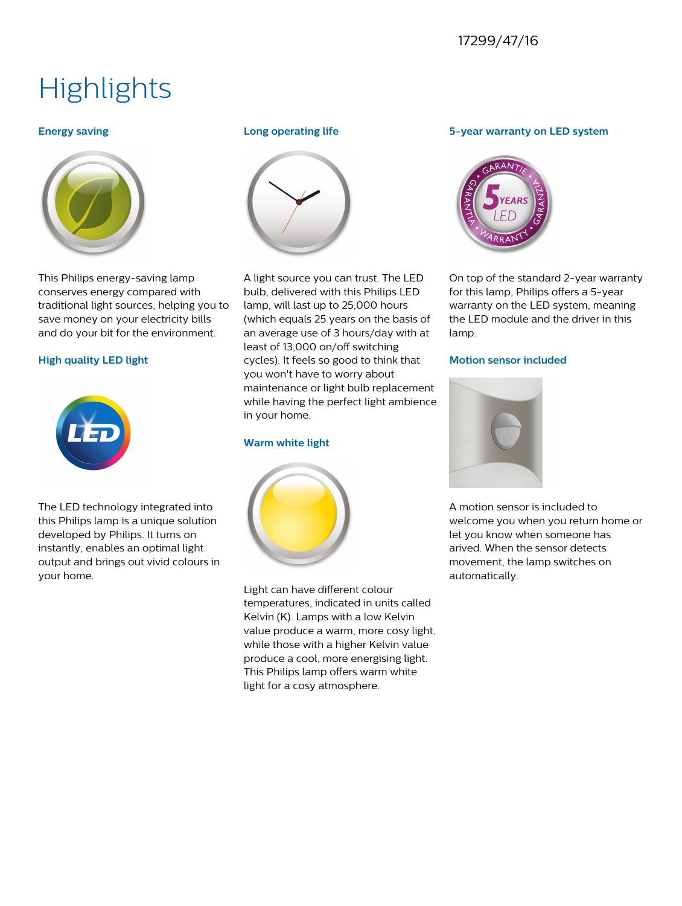## 17299/47/16

## **Highlights**

## **Energy saving**



This Philips energy-saving lamp conserves energy compared with traditional light sources, helping you to save money on your electricity bills and do your bit for the environment.

## **High quality LED light**



The LED technology integrated into this Philips lamp is a unique solution developed by Philips. It turns on instantly, enables an optimal light output and brings out vivid colours in your home.

## **Long operating life**



A light source you can trust. The LED bulb, delivered with this Philips LED lamp, will last up to 25,000 hours (which equals 25 years on the basis of an average use of 3 hours/day with at least of 13,000 on/off switching cycles). It feels so good to think that you won't have to worry about maintenance or light bulb replacement while having the perfect light ambience in your home.

## **Warm white light**



Light can have different colour temperatures, indicated in units called Kelvin (K). Lamps with a low Kelvin value produce a warm, more cosy light, while those with a higher Kelvin value produce a cool, more energising light. This Philips lamp offers warm white light for a cosy atmosphere.

## **5-year warranty on LED system**



On top of the standard 2-year warranty for this lamp, Philips offers a 5-year warranty on the LED system, meaning the LED module and the driver in this lamp.

## **Motion sensor included**



A motion sensor is included to welcome you when you return home or let you know when someone has arived. When the sensor detects movement, the lamp switches on automatically.